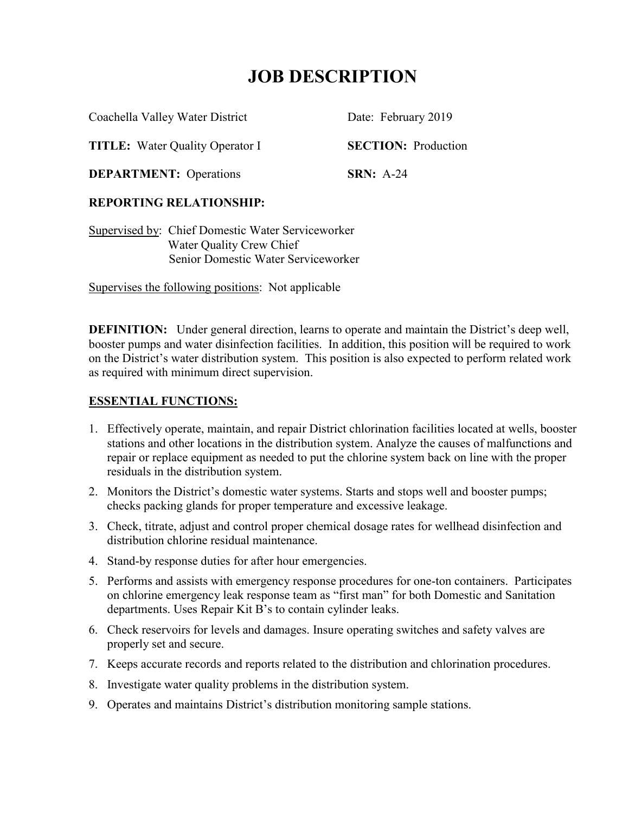# **JOB DESCRIPTION**

Coachella Valley Water District Date: February 2019

**TITLE:** Water Quality Operator I **SECTION:** Production

**DEPARTMENT:** Operations **SRN:** A-24

# **REPORTING RELATIONSHIP:**

Supervised by: Chief Domestic Water Serviceworker Water Quality Crew Chief Senior Domestic Water Serviceworker

Supervises the following positions: Not applicable

**DEFINITION:** Under general direction, learns to operate and maintain the District's deep well, booster pumps and water disinfection facilities. In addition, this position will be required to work on the District's water distribution system. This position is also expected to perform related work as required with minimum direct supervision.

# **ESSENTIAL FUNCTIONS:**

- 1. Effectively operate, maintain, and repair District chlorination facilities located at wells, booster stations and other locations in the distribution system. Analyze the causes of malfunctions and repair or replace equipment as needed to put the chlorine system back on line with the proper residuals in the distribution system.
- 2. Monitors the District's domestic water systems. Starts and stops well and booster pumps; checks packing glands for proper temperature and excessive leakage.
- 3. Check, titrate, adjust and control proper chemical dosage rates for wellhead disinfection and distribution chlorine residual maintenance.
- 4. Stand-by response duties for after hour emergencies.
- 5. Performs and assists with emergency response procedures for one-ton containers. Participates on chlorine emergency leak response team as "first man" for both Domestic and Sanitation departments. Uses Repair Kit B's to contain cylinder leaks.
- 6. Check reservoirs for levels and damages. Insure operating switches and safety valves are properly set and secure.
- 7. Keeps accurate records and reports related to the distribution and chlorination procedures.
- 8. Investigate water quality problems in the distribution system.
- 9. Operates and maintains District's distribution monitoring sample stations.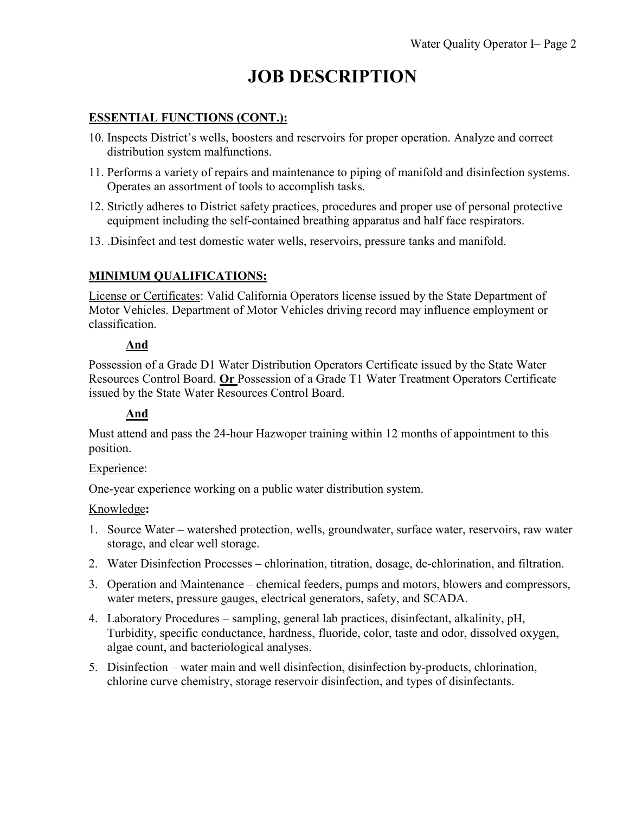# **JOB DESCRIPTION**

### **ESSENTIAL FUNCTIONS (CONT.):**

- 10. Inspects District's wells, boosters and reservoirs for proper operation. Analyze and correct distribution system malfunctions.
- 11. Performs a variety of repairs and maintenance to piping of manifold and disinfection systems. Operates an assortment of tools to accomplish tasks.
- 12. Strictly adheres to District safety practices, procedures and proper use of personal protective equipment including the self-contained breathing apparatus and half face respirators.
- 13. .Disinfect and test domestic water wells, reservoirs, pressure tanks and manifold.

# **MINIMUM QUALIFICATIONS:**

License or Certificates: Valid California Operators license issued by the State Department of Motor Vehicles. Department of Motor Vehicles driving record may influence employment or classification.

### **And**

Possession of a Grade D1 Water Distribution Operators Certificate issued by the State Water Resources Control Board. **Or** Possession of a Grade T1 Water Treatment Operators Certificate issued by the State Water Resources Control Board.

# **And**

Must attend and pass the 24-hour Hazwoper training within 12 months of appointment to this position.

### Experience:

One-year experience working on a public water distribution system.

#### Knowledge**:**

- 1. Source Water watershed protection, wells, groundwater, surface water, reservoirs, raw water storage, and clear well storage.
- 2. Water Disinfection Processes chlorination, titration, dosage, de-chlorination, and filtration.
- 3. Operation and Maintenance chemical feeders, pumps and motors, blowers and compressors, water meters, pressure gauges, electrical generators, safety, and SCADA.
- 4. Laboratory Procedures sampling, general lab practices, disinfectant, alkalinity, pH, Turbidity, specific conductance, hardness, fluoride, color, taste and odor, dissolved oxygen, algae count, and bacteriological analyses.
- 5. Disinfection water main and well disinfection, disinfection by-products, chlorination, chlorine curve chemistry, storage reservoir disinfection, and types of disinfectants.